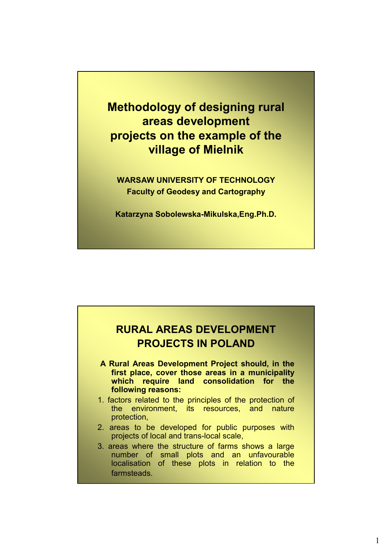**Methodology of designing rural areas development projects on the example of the village of Mielnik**

**WARSAW UNIVERSITY OF TECHNOLOGY Faculty of Geodesy and Cartography**

**Katarzyna Sobolewska-Mikulska,Eng.Ph.D.**

### **RURAL AREAS DEVELOPMENT PROJECTS IN POLAND**

- **A Rural Areas Development Project should, in the first place, cover those areas in a municipality which require land consolidation for the following reasons:**
- 1. factors related to the principles of the protection of the environment, its resources, and nature protection,
- 2. areas to be developed for public purposes with projects of local and trans-local scale,
- 3. areas where the structure of farms shows a large number of small plots and an unfavourable localisation of these plots in relation to the **farmsteads**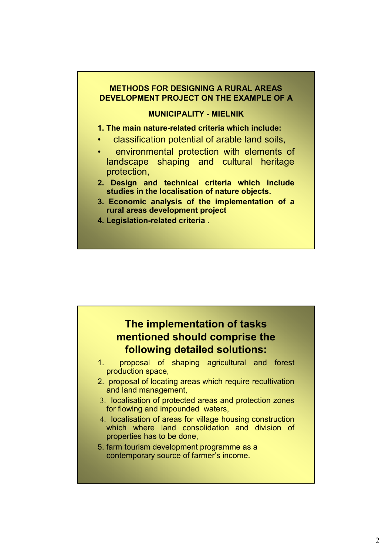#### **METHODS FOR DESIGNING A RURAL AREAS DEVELOPMENT PROJECT ON THE EXAMPLE OF A**

#### **MUNICIPALITY - MIELNIK**

#### **1. The main nature-related criteria which include:**

- classification potential of arable land soils,
- environmental protection with elements of landscape shaping and cultural heritage protection,
- **2. Design and technical criteria which include studies in the localisation of nature objects.**
- **3. Economic analysis of the implementation of a rural areas development project**
- **4. Legislation-related criteria** .

### **The implementation of tasks mentioned should comprise the following detailed solutions:**

- 1. proposal of shaping agricultural and forest production space,
- 2. proposal of locating areas which require recultivation and land management,
- 3. localisation of protected areas and protection zones for flowing and impounded waters,
- 4. localisation of areas for village housing construction which where land consolidation and division of properties has to be done,
- 5. farm tourism development programme as a contemporary source of farmer's income.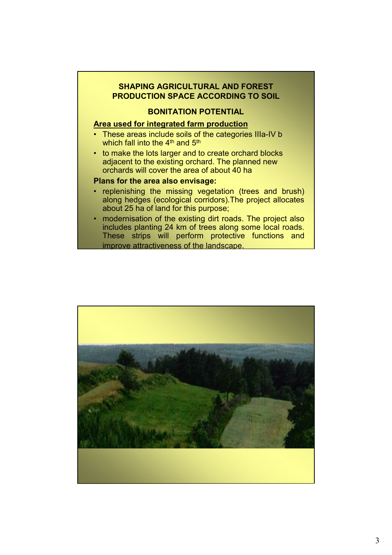#### **SHAPING AGRICULTURAL AND FOREST PRODUCTION SPACE ACCORDING TO SOIL**

#### **BONITATION POTENTIAL**

#### **Area used for integrated farm production**

- These areas include soils of the categories IIIa-IV b which fall into the  $4<sup>th</sup>$  and  $5<sup>th</sup>$
- to make the lots larger and to create orchard blocks adjacent to the existing orchard. The planned new orchards will cover the area of about 40 ha

#### **Plans for the area also envisage:**

- replenishing the missing vegetation (trees and brush) along hedges (ecological corridors).The project allocates about 25 ha of land for this purpose;
- modernisation of the existing dirt roads. The project also includes planting 24 km of trees along some local roads. These strips will perform protective functions and improve attractiveness of the landscape.

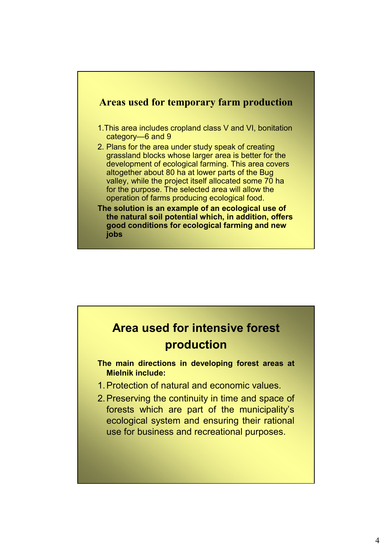

# **Area used for intensive forest production**

**The main directions in developing forest areas at Mielnik include:**

- 1.Protection of natural and economic values.
- 2.Preserving the continuity in time and space of forests which are part of the municipality's ecological system and ensuring their rational use for business and recreational purposes.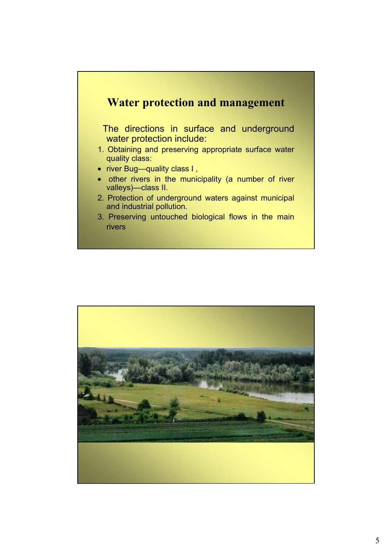### **Water protection and management**

The directions in surface and underground water protection include:

- 1. Obtaining and preserving appropriate surface water quality class:
- river Bug-quality class I,
- other rivers in the municipality (a number of river valleys)—class II.
- 2. Protection of underground waters against municipal and industrial pollution.
- 3. Preserving untouched biological flows in the main rivers

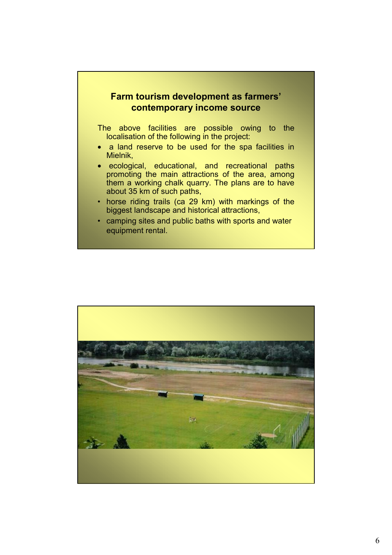#### **Farm tourism development as farmers' contemporary income source**

The above facilities are possible owing to the localisation of the following in the project:

- a land reserve to be used for the spa facilities in Mielnik,
- ecological, educational, and recreational paths promoting the main attractions of the area, among them a working chalk quarry. The plans are to have about 35 km of such paths,
- horse riding trails (ca 29 km) with markings of the biggest landscape and historical attractions,
- camping sites and public baths with sports and water equipment rental.